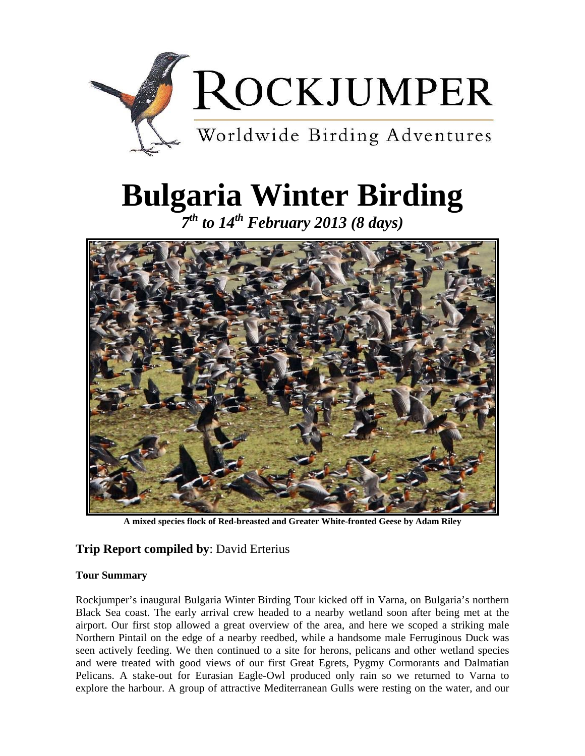

# **Bulgaria Winter Birding**

*7th to 14th February 2013 (8 days)* 



**A mixed species flock of Red-breasted and Greater White-fronted Geese by Adam Riley**

## **Trip Report compiled by**: David Erterius

## **Tour Summary**

Rockjumper's inaugural Bulgaria Winter Birding Tour kicked off in Varna, on Bulgaria's northern Black Sea coast. The early arrival crew headed to a nearby wetland soon after being met at the airport. Our first stop allowed a great overview of the area, and here we scoped a striking male Northern Pintail on the edge of a nearby reedbed, while a handsome male Ferruginous Duck was seen actively feeding. We then continued to a site for herons, pelicans and other wetland species and were treated with good views of our first Great Egrets, Pygmy Cormorants and Dalmatian Pelicans. A stake-out for Eurasian Eagle-Owl produced only rain so we returned to Varna to explore the harbour. A group of attractive Mediterranean Gulls were resting on the water, and our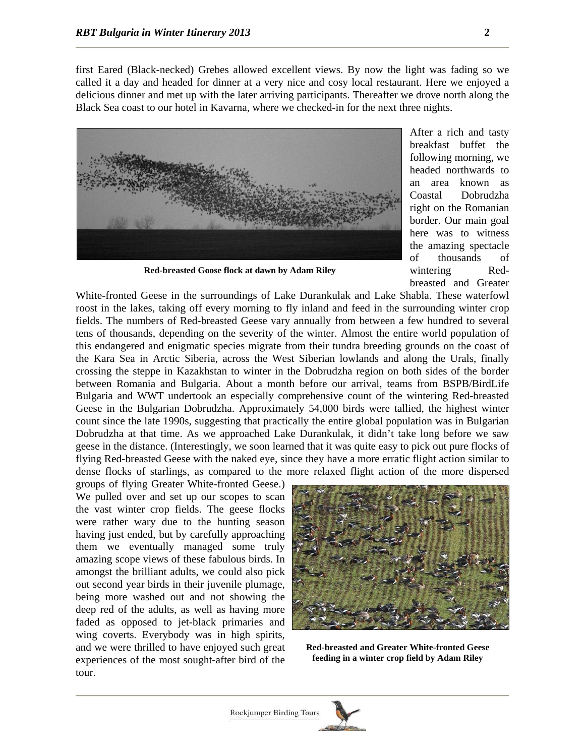first Eared (Black-necked) Grebes allowed excellent views. By now the light was fading so we called it a day and headed for dinner at a very nice and cosy local restaurant. Here we enjoyed a delicious dinner and met up with the later arriving participants. Thereafter we drove north along the Black Sea coast to our hotel in Kavarna, where we checked-in for the next three nights.



**Red-breasted Goose flock at dawn by Adam Riley**

After a rich and tasty breakfast buffet the following morning, we headed northwards to an area known as Coastal Dobrudzha right on the Romanian border. Our main goal here was to witness the amazing spectacle of thousands of wintering Redbreasted and Greater

White-fronted Geese in the surroundings of Lake Durankulak and Lake Shabla. These waterfowl roost in the lakes, taking off every morning to fly inland and feed in the surrounding winter crop fields. The numbers of Red-breasted Geese vary annually from between a few hundred to several tens of thousands, depending on the severity of the winter. Almost the entire world population of this endangered and enigmatic species migrate from their tundra breeding grounds on the coast of the Kara Sea in Arctic Siberia, across the West Siberian lowlands and along the Urals, finally crossing the steppe in Kazakhstan to winter in the Dobrudzha region on both sides of the border between Romania and Bulgaria. About a month before our arrival, teams from BSPB/BirdLife Bulgaria and WWT undertook an especially comprehensive count of the wintering Red-breasted Geese in the Bulgarian Dobrudzha. Approximately 54,000 birds were tallied, the highest winter count since the late 1990s, suggesting that practically the entire global population was in Bulgarian Dobrudzha at that time. As we approached Lake Durankulak, it didn't take long before we saw geese in the distance. (Interestingly, we soon learned that it was quite easy to pick out pure flocks of flying Red-breasted Geese with the naked eye, since they have a more erratic flight action similar to dense flocks of starlings, as compared to the more relaxed flight action of the more dispersed

groups of flying Greater White-fronted Geese.) We pulled over and set up our scopes to scan the vast winter crop fields. The geese flocks were rather wary due to the hunting season having just ended, but by carefully approaching them we eventually managed some truly amazing scope views of these fabulous birds. In amongst the brilliant adults, we could also pick out second year birds in their juvenile plumage, being more washed out and not showing the deep red of the adults, as well as having more faded as opposed to jet-black primaries and wing coverts. Everybody was in high spirits, and we were thrilled to have enjoyed such great experiences of the most sought-after bird of the tour.



**Red-breasted and Greater White-fronted Geese feeding in a winter crop field by Adam Riley**

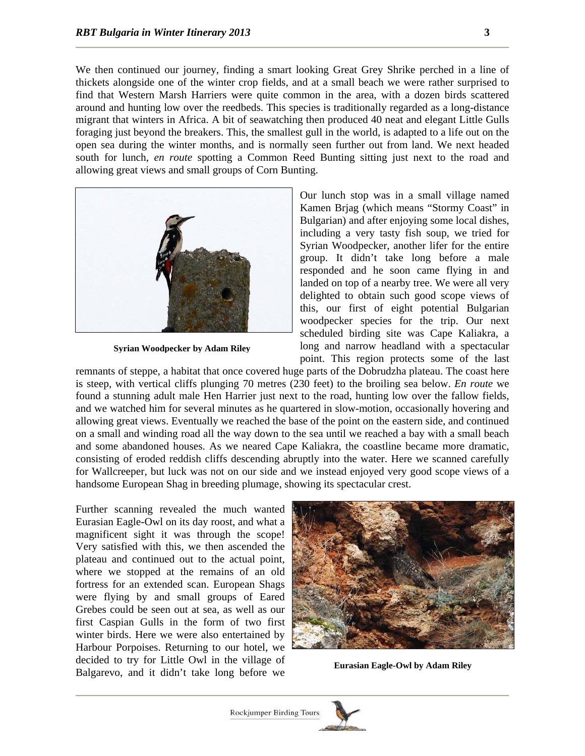We then continued our journey, finding a smart looking Great Grey Shrike perched in a line of thickets alongside one of the winter crop fields, and at a small beach we were rather surprised to find that Western Marsh Harriers were quite common in the area, with a dozen birds scattered around and hunting low over the reedbeds. This species is traditionally regarded as a long-distance migrant that winters in Africa. A bit of seawatching then produced 40 neat and elegant Little Gulls foraging just beyond the breakers. This, the smallest gull in the world, is adapted to a life out on the open sea during the winter months, and is normally seen further out from land. We next headed south for lunch, *en route* spotting a Common Reed Bunting sitting just next to the road and allowing great views and small groups of Corn Bunting.



**Syrian Woodpecker by Adam Riley**

Our lunch stop was in a small village named Kamen Brjag (which means "Stormy Coast" in Bulgarian) and after enjoying some local dishes, including a very tasty fish soup, we tried for Syrian Woodpecker, another lifer for the entire group. It didn't take long before a male responded and he soon came flying in and landed on top of a nearby tree. We were all very delighted to obtain such good scope views of this, our first of eight potential Bulgarian woodpecker species for the trip. Our next scheduled birding site was Cape Kaliakra, a long and narrow headland with a spectacular point. This region protects some of the last

remnants of steppe, a habitat that once covered huge parts of the Dobrudzha plateau. The coast here is steep, with vertical cliffs plunging 70 metres (230 feet) to the broiling sea below. *En route* we found a stunning adult male Hen Harrier just next to the road, hunting low over the fallow fields, and we watched him for several minutes as he quartered in slow-motion, occasionally hovering and allowing great views. Eventually we reached the base of the point on the eastern side, and continued on a small and winding road all the way down to the sea until we reached a bay with a small beach and some abandoned houses. As we neared Cape Kaliakra, the coastline became more dramatic, consisting of eroded reddish cliffs descending abruptly into the water. Here we scanned carefully for Wallcreeper, but luck was not on our side and we instead enjoyed very good scope views of a handsome European Shag in breeding plumage, showing its spectacular crest.

Further scanning revealed the much wanted Eurasian Eagle-Owl on its day roost, and what a magnificent sight it was through the scope! Very satisfied with this, we then ascended the plateau and continued out to the actual point, where we stopped at the remains of an old fortress for an extended scan. European Shags were flying by and small groups of Eared Grebes could be seen out at sea, as well as our first Caspian Gulls in the form of two first winter birds. Here we were also entertained by Harbour Porpoises. Returning to our hotel, we decided to try for Little Owl in the village of Balgarevo, and it didn't take long before we



**Eurasian Eagle-Owl by Adam Riley** 

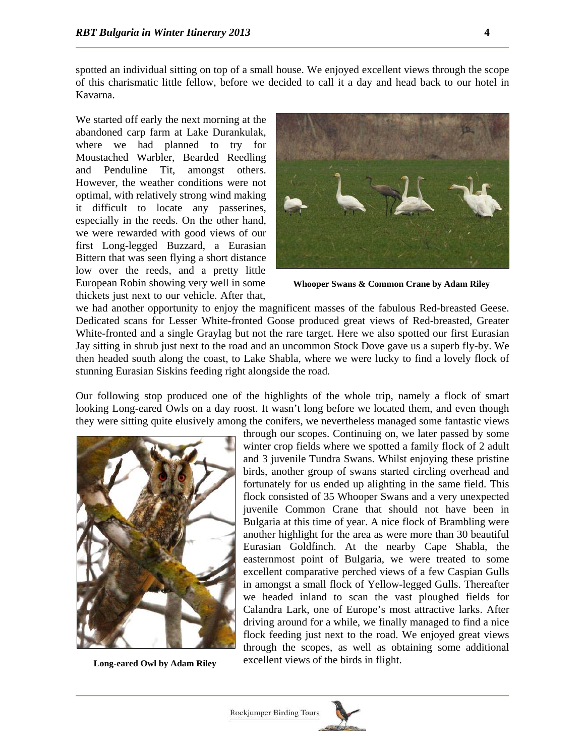spotted an individual sitting on top of a small house. We enjoyed excellent views through the scope of this charismatic little fellow, before we decided to call it a day and head back to our hotel in Kavarna.

We started off early the next morning at the abandoned carp farm at Lake Durankulak, where we had planned to try for Moustached Warbler, Bearded Reedling and Penduline Tit, amongst others. However, the weather conditions were not optimal, with relatively strong wind making it difficult to locate any passerines, especially in the reeds. On the other hand, we were rewarded with good views of our first Long-legged Buzzard, a Eurasian Bittern that was seen flying a short distance low over the reeds, and a pretty little European Robin showing very well in some thickets just next to our vehicle. After that,



**Whooper Swans & Common Crane by Adam Riley** 

we had another opportunity to enjoy the magnificent masses of the fabulous Red-breasted Geese. Dedicated scans for Lesser White-fronted Goose produced great views of Red-breasted, Greater White-fronted and a single Graylag but not the rare target. Here we also spotted our first Eurasian Jay sitting in shrub just next to the road and an uncommon Stock Dove gave us a superb fly-by. We then headed south along the coast, to Lake Shabla, where we were lucky to find a lovely flock of stunning Eurasian Siskins feeding right alongside the road.

Our following stop produced one of the highlights of the whole trip, namely a flock of smart looking Long-eared Owls on a day roost. It wasn't long before we located them, and even though they were sitting quite elusively among the conifers, we nevertheless managed some fantastic views



through our scopes. Continuing on, we later passed by some winter crop fields where we spotted a family flock of 2 adult and 3 juvenile Tundra Swans. Whilst enjoying these pristine birds, another group of swans started circling overhead and fortunately for us ended up alighting in the same field. This flock consisted of 35 Whooper Swans and a very unexpected juvenile Common Crane that should not have been in Bulgaria at this time of year. A nice flock of Brambling were another highlight for the area as were more than 30 beautiful Eurasian Goldfinch. At the nearby Cape Shabla, the easternmost point of Bulgaria, we were treated to some excellent comparative perched views of a few Caspian Gulls in amongst a small flock of Yellow-legged Gulls. Thereafter we headed inland to scan the vast ploughed fields for Calandra Lark, one of Europe's most attractive larks. After driving around for a while, we finally managed to find a nice flock feeding just next to the road. We enjoyed great views through the scopes, as well as obtaining some additional excellent views of the birds in flight. **Long-eared Owl by Adam Riley** 

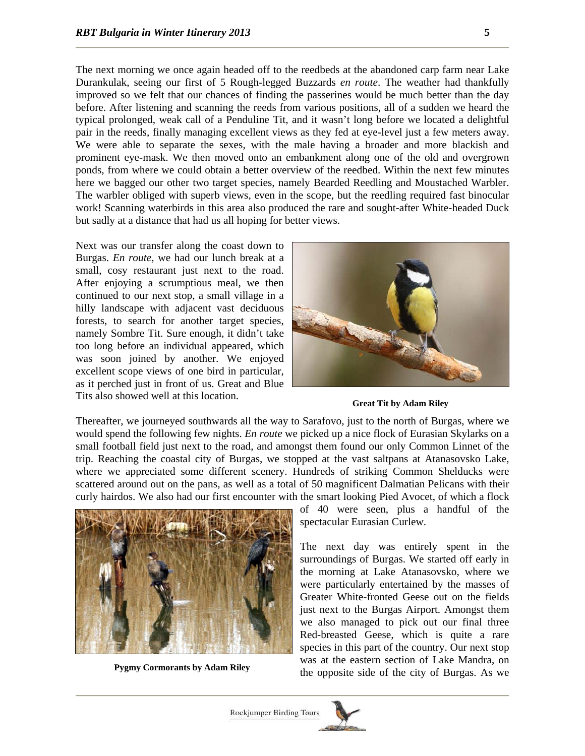The next morning we once again headed off to the reedbeds at the abandoned carp farm near Lake Durankulak, seeing our first of 5 Rough-legged Buzzards *en route*. The weather had thankfully improved so we felt that our chances of finding the passerines would be much better than the day before. After listening and scanning the reeds from various positions, all of a sudden we heard the typical prolonged, weak call of a Penduline Tit, and it wasn't long before we located a delightful pair in the reeds, finally managing excellent views as they fed at eye-level just a few meters away. We were able to separate the sexes, with the male having a broader and more blackish and prominent eye-mask. We then moved onto an embankment along one of the old and overgrown ponds, from where we could obtain a better overview of the reedbed. Within the next few minutes here we bagged our other two target species, namely Bearded Reedling and Moustached Warbler. The warbler obliged with superb views, even in the scope, but the reedling required fast binocular work! Scanning waterbirds in this area also produced the rare and sought-after White-headed Duck but sadly at a distance that had us all hoping for better views.

Next was our transfer along the coast down to Burgas. *En route*, we had our lunch break at a small, cosy restaurant just next to the road. After enjoying a scrumptious meal, we then continued to our next stop, a small village in a hilly landscape with adjacent vast deciduous forests, to search for another target species, namely Sombre Tit. Sure enough, it didn't take too long before an individual appeared, which was soon joined by another. We enjoyed excellent scope views of one bird in particular, as it perched just in front of us. Great and Blue Tits also showed well at this location.



**Great Tit by Adam Riley**

Thereafter, we journeyed southwards all the way to Sarafovo, just to the north of Burgas, where we would spend the following few nights. *En route* we picked up a nice flock of Eurasian Skylarks on a small football field just next to the road, and amongst them found our only Common Linnet of the trip. Reaching the coastal city of Burgas, we stopped at the vast saltpans at Atanasovsko Lake, where we appreciated some different scenery. Hundreds of striking Common Shelducks were scattered around out on the pans, as well as a total of 50 magnificent Dalmatian Pelicans with their curly hairdos. We also had our first encounter with the smart looking Pied Avocet, of which a flock



of 40 were seen, plus a handful of the spectacular Eurasian Curlew.

The next day was entirely spent in the surroundings of Burgas. We started off early in the morning at Lake Atanasovsko, where we were particularly entertained by the masses of Greater White-fronted Geese out on the fields just next to the Burgas Airport. Amongst them we also managed to pick out our final three Red-breasted Geese, which is quite a rare species in this part of the country. Our next stop was at the eastern section of Lake Mandra, on **Example 3 of the opposite side of the city of Burgas.** As we **Pygmy Cormorants by Adam Riley** 

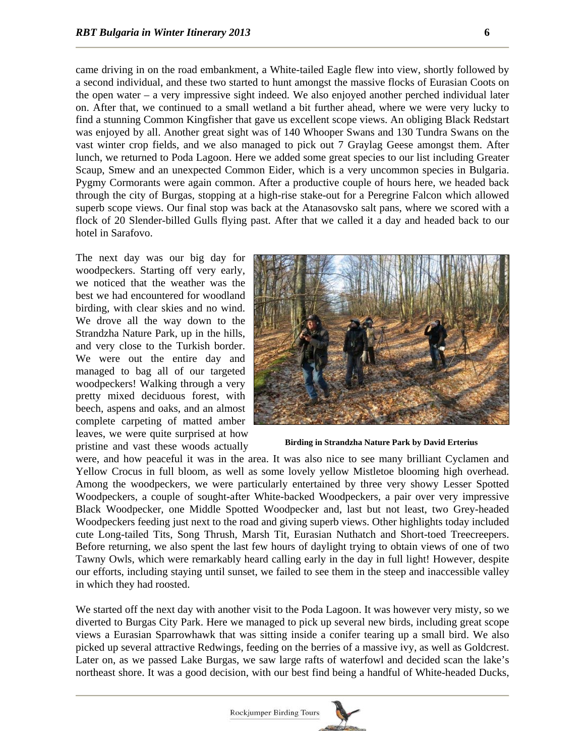came driving in on the road embankment, a White-tailed Eagle flew into view, shortly followed by a second individual, and these two started to hunt amongst the massive flocks of Eurasian Coots on the open water – a very impressive sight indeed. We also enjoyed another perched individual later on. After that, we continued to a small wetland a bit further ahead, where we were very lucky to find a stunning Common Kingfisher that gave us excellent scope views. An obliging Black Redstart was enjoyed by all. Another great sight was of 140 Whooper Swans and 130 Tundra Swans on the vast winter crop fields, and we also managed to pick out 7 Graylag Geese amongst them. After lunch, we returned to Poda Lagoon. Here we added some great species to our list including Greater Scaup, Smew and an unexpected Common Eider, which is a very uncommon species in Bulgaria. Pygmy Cormorants were again common. After a productive couple of hours here, we headed back through the city of Burgas, stopping at a high-rise stake-out for a Peregrine Falcon which allowed superb scope views. Our final stop was back at the Atanasovsko salt pans, where we scored with a flock of 20 Slender-billed Gulls flying past. After that we called it a day and headed back to our hotel in Sarafovo.

The next day was our big day for woodpeckers. Starting off very early, we noticed that the weather was the best we had encountered for woodland birding, with clear skies and no wind. We drove all the way down to the Strandzha Nature Park, up in the hills, and very close to the Turkish border. We were out the entire day and managed to bag all of our targeted woodpeckers! Walking through a very pretty mixed deciduous forest, with beech, aspens and oaks, and an almost complete carpeting of matted amber leaves, we were quite surprised at how pristine and vast these woods actually



**Birding in Strandzha Nature Park by David Erterius** 

were, and how peaceful it was in the area. It was also nice to see many brilliant Cyclamen and Yellow Crocus in full bloom, as well as some lovely yellow Mistletoe blooming high overhead. Among the woodpeckers, we were particularly entertained by three very showy Lesser Spotted Woodpeckers, a couple of sought-after White-backed Woodpeckers, a pair over very impressive Black Woodpecker, one Middle Spotted Woodpecker and, last but not least, two Grey-headed Woodpeckers feeding just next to the road and giving superb views. Other highlights today included cute Long-tailed Tits, Song Thrush, Marsh Tit, Eurasian Nuthatch and Short-toed Treecreepers. Before returning, we also spent the last few hours of daylight trying to obtain views of one of two Tawny Owls, which were remarkably heard calling early in the day in full light! However, despite our efforts, including staying until sunset, we failed to see them in the steep and inaccessible valley in which they had roosted.

We started off the next day with another visit to the Poda Lagoon. It was however very misty, so we diverted to Burgas City Park. Here we managed to pick up several new birds, including great scope views a Eurasian Sparrowhawk that was sitting inside a conifer tearing up a small bird. We also picked up several attractive Redwings, feeding on the berries of a massive ivy, as well as Goldcrest. Later on, as we passed Lake Burgas, we saw large rafts of waterfowl and decided scan the lake's northeast shore. It was a good decision, with our best find being a handful of White-headed Ducks,

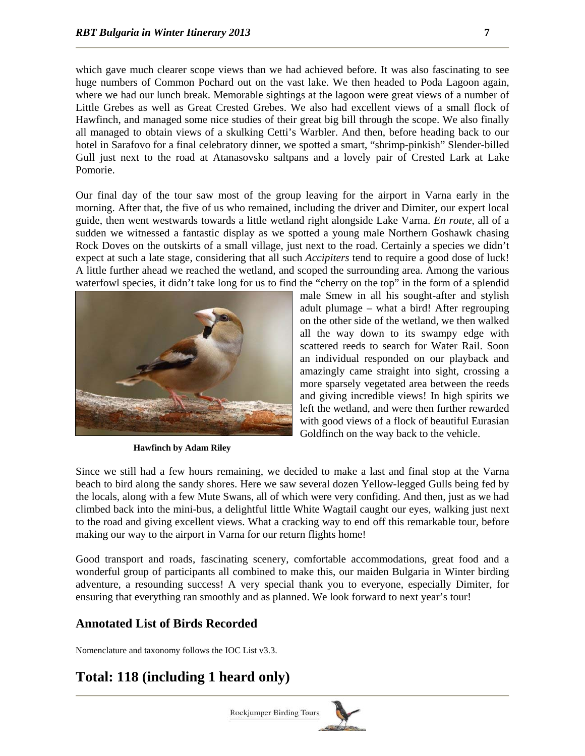which gave much clearer scope views than we had achieved before. It was also fascinating to see huge numbers of Common Pochard out on the vast lake. We then headed to Poda Lagoon again, where we had our lunch break. Memorable sightings at the lagoon were great views of a number of Little Grebes as well as Great Crested Grebes. We also had excellent views of a small flock of Hawfinch, and managed some nice studies of their great big bill through the scope. We also finally all managed to obtain views of a skulking Cetti's Warbler. And then, before heading back to our hotel in Sarafovo for a final celebratory dinner, we spotted a smart, "shrimp-pinkish" Slender-billed Gull just next to the road at Atanasovsko saltpans and a lovely pair of Crested Lark at Lake Pomorie.

Our final day of the tour saw most of the group leaving for the airport in Varna early in the morning. After that, the five of us who remained, including the driver and Dimiter, our expert local guide, then went westwards towards a little wetland right alongside Lake Varna. *En route*, all of a sudden we witnessed a fantastic display as we spotted a young male Northern Goshawk chasing Rock Doves on the outskirts of a small village, just next to the road. Certainly a species we didn't expect at such a late stage, considering that all such *Accipiters* tend to require a good dose of luck! A little further ahead we reached the wetland, and scoped the surrounding area. Among the various waterfowl species, it didn't take long for us to find the "cherry on the top" in the form of a splendid



**Hawfinch by Adam Riley** 

male Smew in all his sought-after and stylish adult plumage – what a bird! After regrouping on the other side of the wetland, we then walked all the way down to its swampy edge with scattered reeds to search for Water Rail. Soon an individual responded on our playback and amazingly came straight into sight, crossing a more sparsely vegetated area between the reeds and giving incredible views! In high spirits we left the wetland, and were then further rewarded with good views of a flock of beautiful Eurasian Goldfinch on the way back to the vehicle.

Since we still had a few hours remaining, we decided to make a last and final stop at the Varna beach to bird along the sandy shores. Here we saw several dozen Yellow-legged Gulls being fed by the locals, along with a few Mute Swans, all of which were very confiding. And then, just as we had climbed back into the mini-bus, a delightful little White Wagtail caught our eyes, walking just next to the road and giving excellent views. What a cracking way to end off this remarkable tour, before making our way to the airport in Varna for our return flights home!

Good transport and roads, fascinating scenery, comfortable accommodations, great food and a wonderful group of participants all combined to make this, our maiden Bulgaria in Winter birding adventure, a resounding success! A very special thank you to everyone, especially Dimiter, for ensuring that everything ran smoothly and as planned. We look forward to next year's tour!

## **Annotated List of Birds Recorded**

Nomenclature and taxonomy follows the IOC List v3.3.

## **Total: 118 (including 1 heard only)**

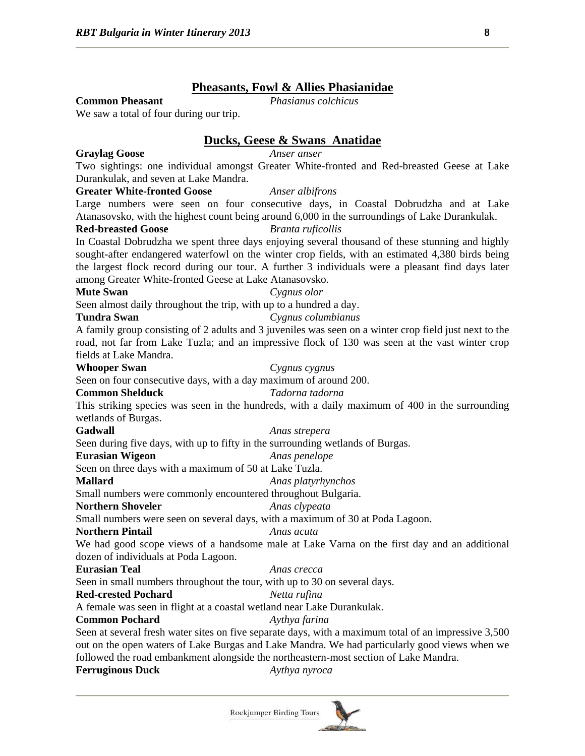## **Pheasants, Fowl & Allies Phasianidae**

**Common Pheasant** *Phasianus colchicus*

We saw a total of four during our trip.

## **Ducks, Geese & Swans Anatidae**

**Graylag Goose** *Anser anser*

Two sightings: one individual amongst Greater White-fronted and Red-breasted Geese at Lake Durankulak, and seven at Lake Mandra.

## **Greater White-fronted Goose** *Anser albifrons*

Large numbers were seen on four consecutive days, in Coastal Dobrudzha and at Lake Atanasovsko, with the highest count being around 6,000 in the surroundings of Lake Durankulak.

### **Red-breasted Goose** *Branta ruficollis*

In Coastal Dobrudzha we spent three days enjoying several thousand of these stunning and highly sought-after endangered waterfowl on the winter crop fields, with an estimated 4,380 birds being the largest flock record during our tour. A further 3 individuals were a pleasant find days later among Greater White-fronted Geese at Lake Atanasovsko.

#### **Mute Swan** *Cygnus olor*

Seen almost daily throughout the trip, with up to a hundred a day.

#### **Tundra Swan** *Cygnus columbianus*

A family group consisting of 2 adults and 3 juveniles was seen on a winter crop field just next to the road, not far from Lake Tuzla; and an impressive flock of 130 was seen at the vast winter crop fields at Lake Mandra.

#### **Whooper Swan** *Cygnus cygnus*

Seen on four consecutive days, with a day maximum of around 200.

#### **Common Shelduck** *Tadorna tadorna*

This striking species was seen in the hundreds, with a daily maximum of 400 in the surrounding wetlands of Burgas.

#### **Gadwall** *Anas strepera*

Seen during five days, with up to fifty in the surrounding wetlands of Burgas.

#### **Eurasian Wigeon** *Anas penelope*

Seen on three days with a maximum of 50 at Lake Tuzla.

#### **Mallard** *Anas platyrhynchos*

Small numbers were commonly encountered throughout Bulgaria.

### **Northern Shoveler** *Anas clypeata*

Small numbers were seen on several days, with a maximum of 30 at Poda Lagoon.

#### **Northern Pintail** *Anas acuta*

We had good scope views of a handsome male at Lake Varna on the first day and an additional dozen of individuals at Poda Lagoon.

#### **Eurasian Teal** *Anas crecca*

Seen in small numbers throughout the tour, with up to 30 on several days.

## **Red-crested Pochard** *Netta rufina*

A female was seen in flight at a coastal wetland near Lake Durankulak.

## **Common Pochard** *Aythya farina*

Seen at several fresh water sites on five separate days, with a maximum total of an impressive 3,500 out on the open waters of Lake Burgas and Lake Mandra. We had particularly good views when we followed the road embankment alongside the northeastern-most section of Lake Mandra.

### **Ferruginous Duck** *Aythya nyroca*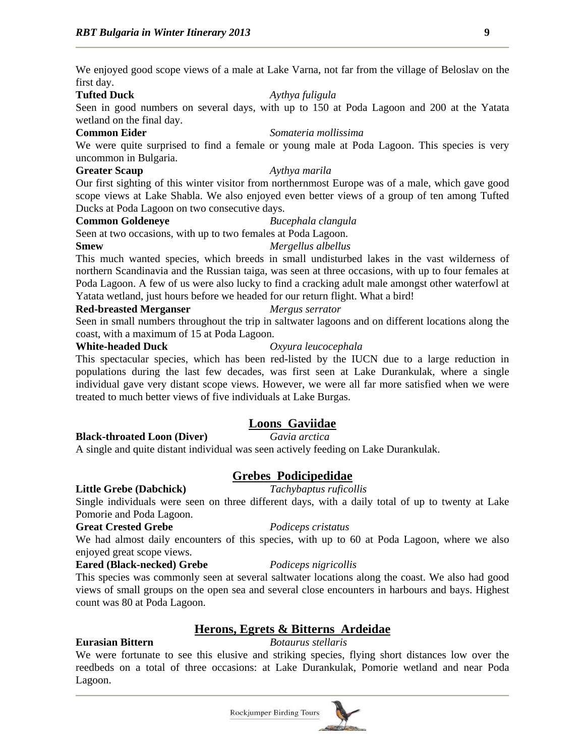We enjoyed good scope views of a male at Lake Varna, not far from the village of Beloslav on the first day.

## **Tufted Duck** *Aythya fuligula*

Seen in good numbers on several days, with up to 150 at Poda Lagoon and 200 at the Yatata wetland on the final day.

### **Common Eider** *Somateria mollissima*

We were quite surprised to find a female or young male at Poda Lagoon. This species is very uncommon in Bulgaria.

### **Greater Scaup** *Aythya marila*

Our first sighting of this winter visitor from northernmost Europe was of a male, which gave good scope views at Lake Shabla. We also enjoyed even better views of a group of ten among Tufted Ducks at Poda Lagoon on two consecutive days.

## **Common Goldeneye** *Bucephala clangula*

Seen at two occasions, with up to two females at Poda Lagoon.

This much wanted species, which breeds in small undisturbed lakes in the vast wilderness of northern Scandinavia and the Russian taiga, was seen at three occasions, with up to four females at Poda Lagoon. A few of us were also lucky to find a cracking adult male amongst other waterfowl at Yatata wetland, just hours before we headed for our return flight. What a bird!

### **Red-breasted Merganser** *Mergus serrator*

## Seen in small numbers throughout the trip in saltwater lagoons and on different locations along the

coast, with a maximum of 15 at Poda Lagoon.

### **White-headed Duck** *Oxyura leucocephala*

## This spectacular species, which has been red-listed by the IUCN due to a large reduction in populations during the last few decades, was first seen at Lake Durankulak, where a single individual gave very distant scope views. However, we were all far more satisfied when we were treated to much better views of five individuals at Lake Burgas.

## **Loons Gaviidae**

## **Black-throated Loon (Diver)** *Gavia arctica*

A single and quite distant individual was seen actively feeding on Lake Durankulak.

## **Grebes Podicipedidae**

## **Little Grebe (Dabchick)** *Tachybaptus ruficollis*

Single individuals were seen on three different days, with a daily total of up to twenty at Lake Pomorie and Poda Lagoon.

### **Great Crested Grebe** *Podiceps cristatus*

We had almost daily encounters of this species, with up to 60 at Poda Lagoon, where we also enjoyed great scope views.

## **Eared (Black-necked) Grebe** *Podiceps nigricollis*

This species was commonly seen at several saltwater locations along the coast. We also had good views of small groups on the open sea and several close encounters in harbours and bays. Highest count was 80 at Poda Lagoon.

## **Herons, Egrets & Bitterns Ardeidae**

## **Eurasian Bittern** *Botaurus stellaris*

We were fortunate to see this elusive and striking species, flying short distances low over the reedbeds on a total of three occasions: at Lake Durankulak, Pomorie wetland and near Poda Lagoon.



## **Smew** *Mergellus albellus*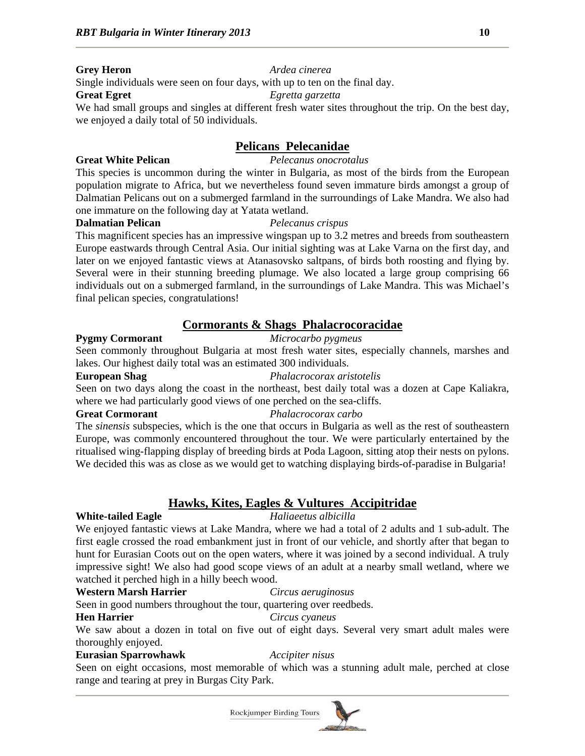## **Grey Heron** *Ardea cinerea*

Single individuals were seen on four days, with up to ten on the final day.

## **Great Egret** *Egretta garzetta*

We had small groups and singles at different fresh water sites throughout the trip. On the best day, we enjoyed a daily total of 50 individuals.

## **Pelicans Pelecanidae**

## **Great White Pelican** *Pelecanus onocrotalus*

This species is uncommon during the winter in Bulgaria, as most of the birds from the European population migrate to Africa, but we nevertheless found seven immature birds amongst a group of Dalmatian Pelicans out on a submerged farmland in the surroundings of Lake Mandra. We also had one immature on the following day at Yatata wetland.

## **Dalmatian Pelican** *Pelecanus crispus*

This magnificent species has an impressive wingspan up to 3.2 metres and breeds from southeastern Europe eastwards through Central Asia. Our initial sighting was at Lake Varna on the first day, and later on we enjoyed fantastic views at Atanasovsko saltpans, of birds both roosting and flying by. Several were in their stunning breeding plumage. We also located a large group comprising 66 individuals out on a submerged farmland, in the surroundings of Lake Mandra. This was Michael's final pelican species, congratulations!

## **Cormorants & Shags Phalacrocoracidae**

## **Pygmy Cormorant** *Microcarbo pygmeus*

Seen commonly throughout Bulgaria at most fresh water sites, especially channels, marshes and lakes. Our highest daily total was an estimated 300 individuals.

## **European Shag** *Phalacrocorax aristotelis*

Seen on two days along the coast in the northeast, best daily total was a dozen at Cape Kaliakra, where we had particularly good views of one perched on the sea-cliffs.

## **Great Cormorant** *Phalacrocorax carbo*

The *sinensis* subspecies, which is the one that occurs in Bulgaria as well as the rest of southeastern Europe, was commonly encountered throughout the tour. We were particularly entertained by the ritualised wing-flapping display of breeding birds at Poda Lagoon, sitting atop their nests on pylons. We decided this was as close as we would get to watching displaying birds-of-paradise in Bulgaria!

## **Hawks, Kites, Eagles & Vultures Accipitridae**

## **White-tailed Eagle** *Haliaeetus albicilla*

We enjoyed fantastic views at Lake Mandra, where we had a total of 2 adults and 1 sub-adult. The first eagle crossed the road embankment just in front of our vehicle, and shortly after that began to hunt for Eurasian Coots out on the open waters, where it was joined by a second individual. A truly impressive sight! We also had good scope views of an adult at a nearby small wetland, where we watched it perched high in a hilly beech wood.

## **Western Marsh Harrier** *Circus aeruginosus*

Seen in good numbers throughout the tour, quartering over reedbeds.

## **Hen Harrier** *Circus cyaneus*

We saw about a dozen in total on five out of eight days. Several very smart adult males were thoroughly enjoyed.

## **Eurasian Sparrowhawk** *Accipiter nisus*

Seen on eight occasions, most memorable of which was a stunning adult male, perched at close range and tearing at prey in Burgas City Park.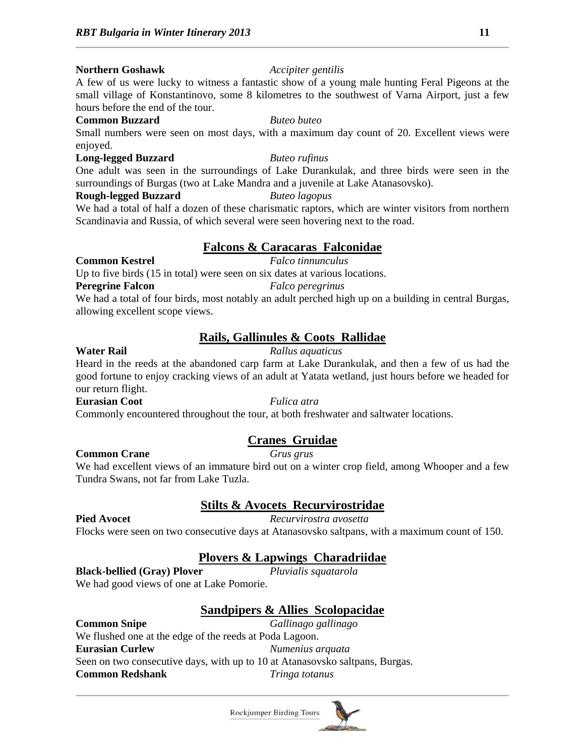## **Northern Goshawk** *Accipiter gentilis*

A few of us were lucky to witness a fantastic show of a young male hunting Feral Pigeons at the small village of Konstantinovo, some 8 kilometres to the southwest of Varna Airport, just a few hours before the end of the tour.

### **Common Buzzard** *Buteo buteo*

Small numbers were seen on most days, with a maximum day count of 20. Excellent views were enjoyed.

## **Long-legged Buzzard** *Buteo rufinus*

One adult was seen in the surroundings of Lake Durankulak, and three birds were seen in the

surroundings of Burgas (two at Lake Mandra and a juvenile at Lake Atanasovsko).

## **Rough-legged Buzzard** *Buteo lagopus*

We had a total of half a dozen of these charismatic raptors, which are winter visitors from northern Scandinavia and Russia, of which several were seen hovering next to the road.

## **Falcons & Caracaras Falconidae**

## **Common Kestrel** *Falco tinnunculus*

Up to five birds (15 in total) were seen on six dates at various locations.

## **Peregrine Falcon** *Falco peregrinus*

We had a total of four birds, most notably an adult perched high up on a building in central Burgas, allowing excellent scope views.

## **Rails, Gallinules & Coots Rallidae**

## **Water Rail** *Rallus aquaticus*

Heard in the reeds at the abandoned carp farm at Lake Durankulak, and then a few of us had the good fortune to enjoy cracking views of an adult at Yatata wetland, just hours before we headed for our return flight.

## **Eurasian Coot** *Fulica atra*

Commonly encountered throughout the tour, at both freshwater and saltwater locations.

## **Cranes Gruidae**

## **Common Crane** *Grus grus*

We had excellent views of an immature bird out on a winter crop field, among Whooper and a few Tundra Swans, not far from Lake Tuzla.

## **Stilts & Avocets Recurvirostridae**

**Pied Avocet** *Recurvirostra avosetta*

Flocks were seen on two consecutive days at Atanasovsko saltpans, with a maximum count of 150.

## **Plovers & Lapwings Charadriidae**

**Black-bellied (Gray) Plover** *Pluvialis squatarola*

We had good views of one at Lake Pomorie.

## **Sandpipers & Allies Scolopacidae**

## **Common Snipe** *Gallinago gallinago* We flushed one at the edge of the reeds at Poda Lagoon. **Eurasian Curlew** *Numenius arquata* Seen on two consecutive days, with up to 10 at Atanasovsko saltpans, Burgas. **Common Redshank** *Tringa totanus*

**Rockjumper Birding Tours**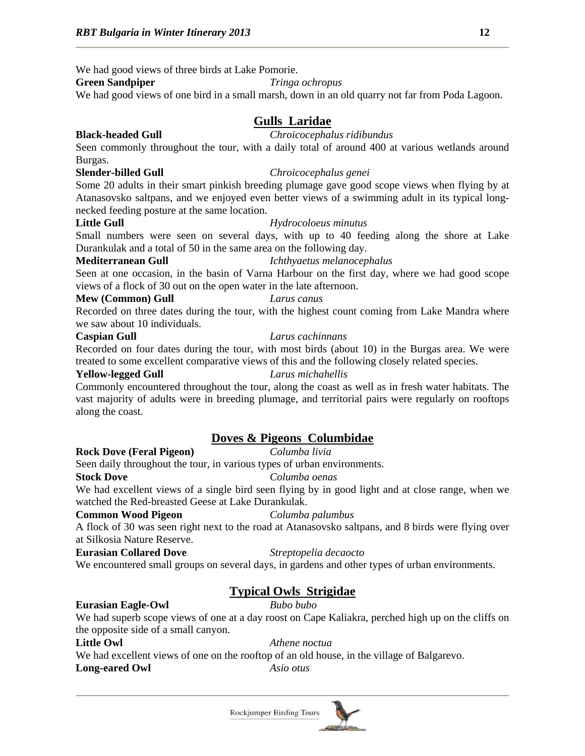We had good views of three birds at Lake Pomorie.

## **Green Sandpiper** *Tringa ochropus*

We had good views of one bird in a small marsh, down in an old quarry not far from Poda Lagoon.

## **Gulls Laridae**

## **Black-headed Gull** *Chroicocephalus ridibundus*

Seen commonly throughout the tour, with a daily total of around 400 at various wetlands around Burgas.

## **Slender-billed Gull** *Chroicocephalus genei*

Some 20 adults in their smart pinkish breeding plumage gave good scope views when flying by at Atanasovsko saltpans, and we enjoyed even better views of a swimming adult in its typical longnecked feeding posture at the same location.

## **Little Gull** *Hydrocoloeus minutus*

Small numbers were seen on several days, with up to 40 feeding along the shore at Lake Durankulak and a total of 50 in the same area on the following day.

## **Mediterranean Gull** *Ichthyaetus melanocephalus*

Seen at one occasion, in the basin of Varna Harbour on the first day, where we had good scope views of a flock of 30 out on the open water in the late afternoon.

### **Mew (Common) Gull** *Larus canus*

Recorded on three dates during the tour, with the highest count coming from Lake Mandra where we saw about 10 individuals.

### **Caspian Gull** *Larus cachinnans*

Recorded on four dates during the tour, with most birds (about 10) in the Burgas area. We were treated to some excellent comparative views of this and the following closely related species.

### **Yellow-legged Gull** *Larus michahellis*

Commonly encountered throughout the tour, along the coast as well as in fresh water habitats. The vast majority of adults were in breeding plumage, and territorial pairs were regularly on rooftops along the coast.

## **Doves & Pigeons Columbidae**

**Rock Dove (Feral Pigeon)** *Columba livia*

Seen daily throughout the tour, in various types of urban environments.

## **Stock Dove** *Columba oenas*

We had excellent views of a single bird seen flying by in good light and at close range, when we watched the Red-breasted Geese at Lake Durankulak.

## **Common Wood Pigeon** *Columba palumbus*

A flock of 30 was seen right next to the road at Atanasovsko saltpans, and 8 birds were flying over at Silkosia Nature Reserve.

## **Eurasian Collared Dove** *Streptopelia decaocto*

We encountered small groups on several days, in gardens and other types of urban environments.

## **Typical Owls Strigidae**

## **Eurasian Eagle-Owl** *Bubo bubo*

We had superb scope views of one at a day roost on Cape Kaliakra, perched high up on the cliffs on the opposite side of a small canyon.

**Little Owl** *Athene noctua*

We had excellent views of one on the rooftop of an old house, in the village of Balgarevo.

**Long-eared Owl** *Asio otus*

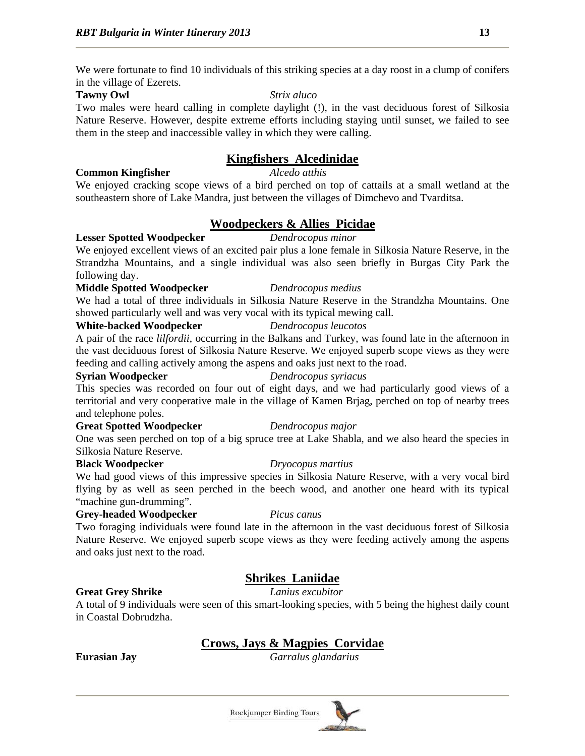We were fortunate to find 10 individuals of this striking species at a day roost in a clump of conifers in the village of Ezerets.

## **Tawny Owl** *Strix aluco*

Two males were heard calling in complete daylight (!), in the vast deciduous forest of Silkosia Nature Reserve. However, despite extreme efforts including staying until sunset, we failed to see them in the steep and inaccessible valley in which they were calling.

## **Kingfishers Alcedinidae**

## **Common Kingfisher** *Alcedo atthis*

We enjoyed cracking scope views of a bird perched on top of cattails at a small wetland at the southeastern shore of Lake Mandra, just between the villages of Dimchevo and Tvarditsa.

## **Woodpeckers & Allies Picidae**

## **Lesser Spotted Woodpecker** *Dendrocopus minor*

We enjoyed excellent views of an excited pair plus a lone female in Silkosia Nature Reserve, in the Strandzha Mountains, and a single individual was also seen briefly in Burgas City Park the following day.

## **Middle Spotted Woodpecker** *Dendrocopus medius*

We had a total of three individuals in Silkosia Nature Reserve in the Strandzha Mountains. One showed particularly well and was very vocal with its typical mewing call.

### **White-backed Woodpecker** *Dendrocopus leucotos*

A pair of the race *lilfordii*, occurring in the Balkans and Turkey, was found late in the afternoon in the vast deciduous forest of Silkosia Nature Reserve. We enjoyed superb scope views as they were feeding and calling actively among the aspens and oaks just next to the road.

### **Syrian Woodpecker** *Dendrocopus syriacus*

This species was recorded on four out of eight days, and we had particularly good views of a territorial and very cooperative male in the village of Kamen Brjag, perched on top of nearby trees and telephone poles.

## **Great Spotted Woodpecker** *Dendrocopus major*

One was seen perched on top of a big spruce tree at Lake Shabla, and we also heard the species in Silkosia Nature Reserve.

## **Black Woodpecker** *Dryocopus martius*

We had good views of this impressive species in Silkosia Nature Reserve, with a very vocal bird flying by as well as seen perched in the beech wood, and another one heard with its typical "machine gun-drumming".

## **Grey-headed Woodpecker** *Picus canus*

Two foraging individuals were found late in the afternoon in the vast deciduous forest of Silkosia Nature Reserve. We enjoyed superb scope views as they were feeding actively among the aspens and oaks just next to the road.

## **Shrikes Laniidae**

**Great Grey Shrike** *Lanius excubitor*

A total of 9 individuals were seen of this smart-looking species, with 5 being the highest daily count in Coastal Dobrudzha.

## **Crows, Jays & Magpies Corvidae**

**Eurasian Jay** *Garralus glandarius*

Rockjumper Birding Tours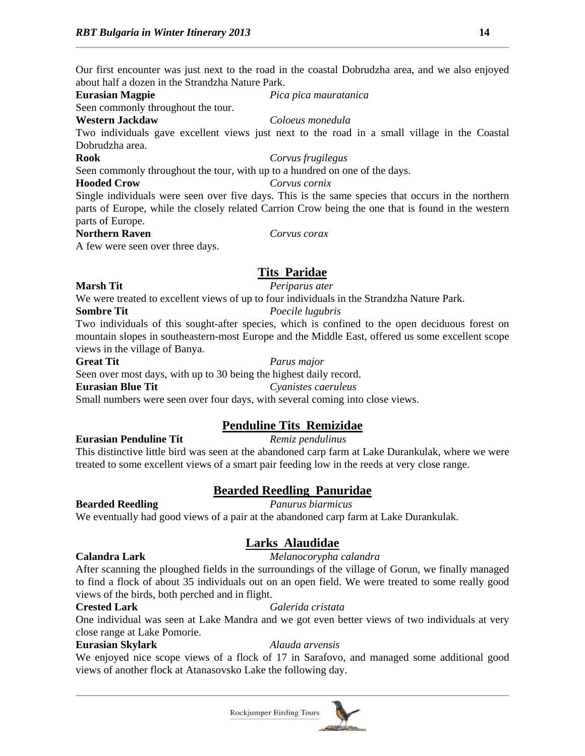Our first encounter was just next to the road in the coastal Dobrudzha area, and we also enjoyed about half a dozen in the Strandzha Nature Park.

## **Eurasian Magpie** *Pica pica mauratanica*

Seen commonly throughout the tour.

### **Western Jackdaw** *Coloeus monedula*

Two individuals gave excellent views just next to the road in a small village in the Coastal Dobrudzha area.

## **Rook** *Corvus frugilegus*

Seen commonly throughout the tour, with up to a hundred on one of the days.

## **Hooded Crow** *Corvus cornix*

Single individuals were seen over five days. This is the same species that occurs in the northern parts of Europe, while the closely related Carrion Crow being the one that is found in the western parts of Europe.

## **Northern Raven** *Corvus corax*

A few were seen over three days.

## **Tits Paridae**

## **Marsh Tit** *Periparus ater*

We were treated to excellent views of up to four individuals in the Strandzha Nature Park.

## **Sombre Tit** *Poecile lugubris*

Two individuals of this sought-after species, which is confined to the open deciduous forest on mountain slopes in southeastern-most Europe and the Middle East, offered us some excellent scope views in the village of Banya.

Seen over most days, with up to 30 being the highest daily record.

Small numbers were seen over four days, with several coming into close views.

## **Penduline Tits Remizidae**

## **Eurasian Penduline Tit** *Remiz pendulinus*

This distinctive little bird was seen at the abandoned carp farm at Lake Durankulak, where we were treated to some excellent views of a smart pair feeding low in the reeds at very close range.

## **Bearded Reedling Panuridae**

## **Bearded Reedling** *Panurus biarmicus*

We eventually had good views of a pair at the abandoned carp farm at Lake Durankulak.

## **Larks Alaudidae**

## **Calandra Lark** *Melanocorypha calandra*

After scanning the ploughed fields in the surroundings of the village of Gorun, we finally managed to find a flock of about 35 individuals out on an open field. We were treated to some really good views of the birds, both perched and in flight.

## **Crested Lark** *Galerida cristata*

One individual was seen at Lake Mandra and we got even better views of two individuals at very close range at Lake Pomorie.

## **Eurasian Skylark** *Alauda arvensis*

We enjoyed nice scope views of a flock of 17 in Sarafovo, and managed some additional good views of another flock at Atanasovsko Lake the following day.

**Great Tit** *Parus major*

**Eurasian Blue Tit** *Cyanistes caeruleus*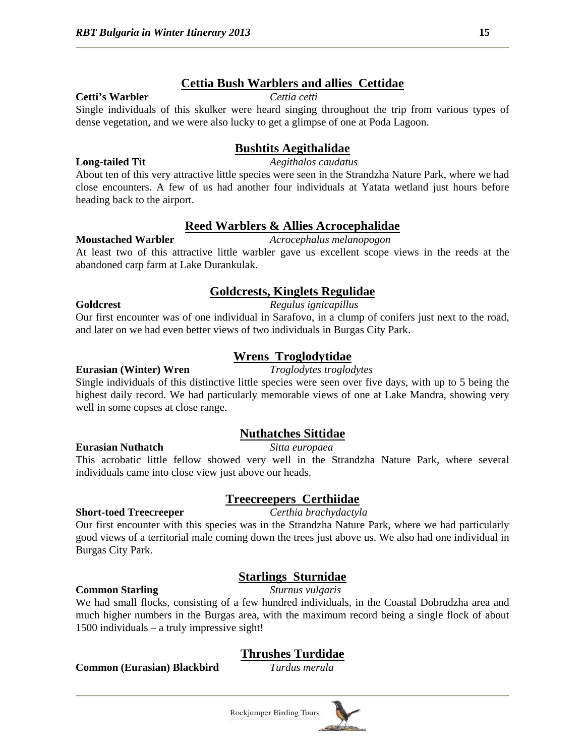## **Cettia Bush Warblers and allies Cettidae**

### **Cetti's Warbler** *Cettia cetti*

Single individuals of this skulker were heard singing throughout the trip from various types of dense vegetation, and we were also lucky to get a glimpse of one at Poda Lagoon.

## **Bushtits Aegithalidae**

### **Long-tailed Tit** *Aegithalos caudatus*

About ten of this very attractive little species were seen in the Strandzha Nature Park, where we had close encounters. A few of us had another four individuals at Yatata wetland just hours before heading back to the airport.

## **Reed Warblers & Allies Acrocephalidae**

### **Moustached Warbler** *Acrocephalus melanopogon*

At least two of this attractive little warbler gave us excellent scope views in the reeds at the abandoned carp farm at Lake Durankulak.

## **Goldcrests, Kinglets Regulidae**

### **Goldcrest** *Regulus ignicapillus*

Our first encounter was of one individual in Sarafovo, in a clump of conifers just next to the road, and later on we had even better views of two individuals in Burgas City Park.

Single individuals of this distinctive little species were seen over five days, with up to 5 being the highest daily record. We had particularly memorable views of one at Lake Mandra, showing very well in some copses at close range.

## **Nuthatches Sittidae**

**Eurasian Nuthatch** *Sitta europaea*

This acrobatic little fellow showed very well in the Strandzha Nature Park, where several individuals came into close view just above our heads.

## **Treecreepers Certhiidae**

### **Short-toed Treecreeper** *Certhia brachydactyla*

Our first encounter with this species was in the Strandzha Nature Park, where we had particularly good views of a territorial male coming down the trees just above us. We also had one individual in Burgas City Park.

## **Starlings Sturnidae**

We had small flocks, consisting of a few hundred individuals, in the Coastal Dobrudzha area and much higher numbers in the Burgas area, with the maximum record being a single flock of about 1500 individuals – a truly impressive sight!

## **Thrushes Turdidae**

**Common (Eurasian) Blackbird** *Turdus merula*



**Wrens Troglodytidae**

# **Eurasian (Winter) Wren** *Troglodytes troglodytes*

**Common Starling** *Sturnus vulgaris*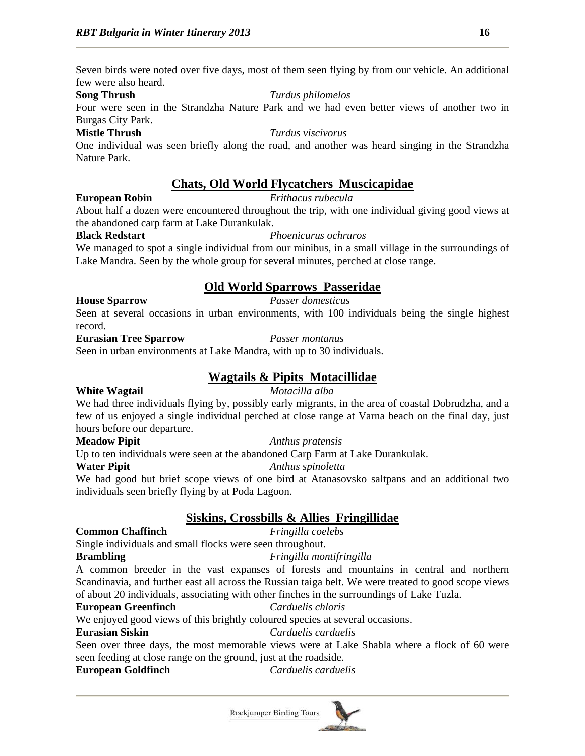Seven birds were noted over five days, most of them seen flying by from our vehicle. An additional few were also heard.

### **Song Thrush** *Turdus philomelos*

Four were seen in the Strandzha Nature Park and we had even better views of another two in Burgas City Park.

## **Mistle Thrush** *Turdus viscivorus*

One individual was seen briefly along the road, and another was heard singing in the Strandzha Nature Park.

## **Chats, Old World Flycatchers Muscicapidae**

## **European Robin** *Erithacus rubecula*

About half a dozen were encountered throughout the trip, with one individual giving good views at the abandoned carp farm at Lake Durankulak.

## **Black Redstart** *Phoenicurus ochruros*

We managed to spot a single individual from our minibus, in a small village in the surroundings of Lake Mandra. Seen by the whole group for several minutes, perched at close range.

## **Old World Sparrows Passeridae**

## **House Sparrow** *Passer domesticus*

Seen at several occasions in urban environments, with 100 individuals being the single highest record.

### **Eurasian Tree Sparrow** *Passer montanus*

Seen in urban environments at Lake Mandra, with up to 30 individuals.

## **Wagtails & Pipits Motacillidae**

## **White Wagtail** *Motacilla alba*

We had three individuals flying by, possibly early migrants, in the area of coastal Dobrudzha, and a few of us enjoyed a single individual perched at close range at Varna beach on the final day, just hours before our departure.

## **Meadow Pipit** *Anthus pratensis*

Up to ten individuals were seen at the abandoned Carp Farm at Lake Durankulak.

## **Water Pipit** *Anthus spinoletta*

We had good but brief scope views of one bird at Atanasovsko saltpans and an additional two individuals seen briefly flying by at Poda Lagoon.

## **Siskins, Crossbills & Allies Fringillidae**

## **Common Chaffinch** *Fringilla coelebs*

Single individuals and small flocks were seen throughout.

**Brambling** *Fringilla montifringilla*

A common breeder in the vast expanses of forests and mountains in central and northern Scandinavia, and further east all across the Russian taiga belt. We were treated to good scope views of about 20 individuals, associating with other finches in the surroundings of Lake Tuzla.

## **European Greenfinch** *Carduelis chloris*

We enjoyed good views of this brightly coloured species at several occasions.

## **Eurasian Siskin** *Carduelis carduelis*

Seen over three days, the most memorable views were at Lake Shabla where a flock of 60 were seen feeding at close range on the ground, just at the roadside.

**European Goldfinch** *Carduelis carduelis*